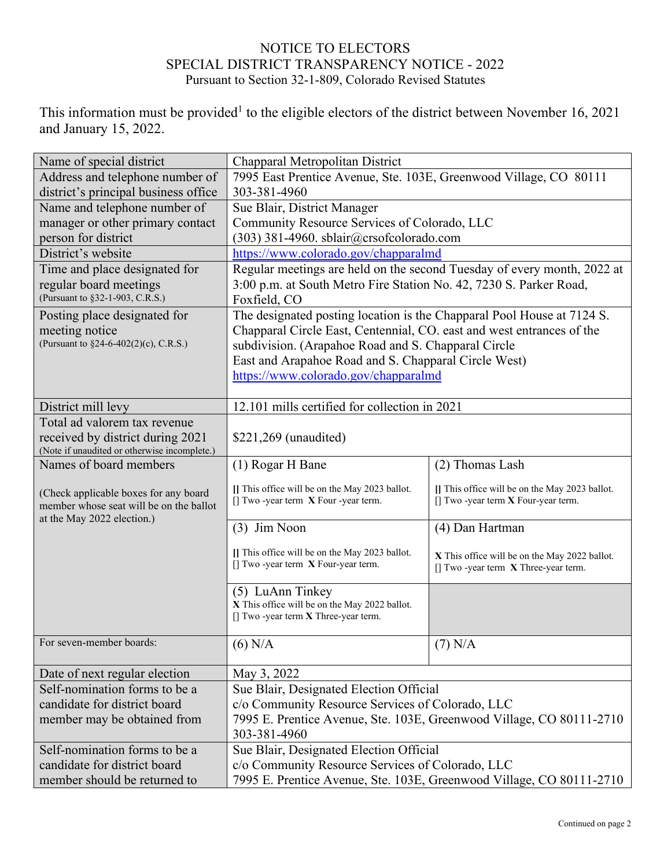## NOTICE TO ELECTORS SPECIAL DISTRICT TRANSPARENCY NOTICE - 2022 Pursuant to Section 32-1-809, Colorado Revised Statutes

This information must be provided<sup>1</sup> to the eligible electors of the district between November 16, 2021 and January 15, 2022.

| Name of special district                                               | Chapparal Metropolitan District                                                             |                                                |  |
|------------------------------------------------------------------------|---------------------------------------------------------------------------------------------|------------------------------------------------|--|
| Address and telephone number of                                        | 7995 East Prentice Avenue, Ste. 103E, Greenwood Village, CO 80111                           |                                                |  |
| district's principal business office                                   | 303-381-4960                                                                                |                                                |  |
| Name and telephone number of                                           | Sue Blair, District Manager                                                                 |                                                |  |
| manager or other primary contact                                       | Community Resource Services of Colorado, LLC                                                |                                                |  |
| person for district                                                    | $(303)$ 381-4960. sblair@crsofcolorado.com                                                  |                                                |  |
| District's website                                                     | https://www.colorado.gov/chapparalmd                                                        |                                                |  |
| Time and place designated for                                          | Regular meetings are held on the second Tuesday of every month, 2022 at                     |                                                |  |
| regular board meetings                                                 | 3:00 p.m. at South Metro Fire Station No. 42, 7230 S. Parker Road,                          |                                                |  |
| (Pursuant to §32-1-903, C.R.S.)                                        | Foxfield, CO                                                                                |                                                |  |
| Posting place designated for                                           | The designated posting location is the Chapparal Pool House at 7124 S.                      |                                                |  |
| meeting notice                                                         | Chapparal Circle East, Centennial, CO. east and west entrances of the                       |                                                |  |
| (Pursuant to §24-6-402(2)(c), C.R.S.)                                  | subdivision. (Arapahoe Road and S. Chapparal Circle                                         |                                                |  |
|                                                                        | East and Arapahoe Road and S. Chapparal Circle West)                                        |                                                |  |
|                                                                        | https://www.colorado.gov/chapparalmd                                                        |                                                |  |
|                                                                        |                                                                                             |                                                |  |
| District mill levy                                                     | 12.101 mills certified for collection in 2021                                               |                                                |  |
| Total ad valorem tax revenue                                           |                                                                                             |                                                |  |
| received by district during 2021                                       | \$221,269 (unaudited)                                                                       |                                                |  |
| (Note if unaudited or otherwise incomplete.)<br>Names of board members | (1) Rogar H Bane                                                                            | (2) Thomas Lash                                |  |
|                                                                        |                                                                                             |                                                |  |
| (Check applicable boxes for any board                                  | [] This office will be on the May 2023 ballot.                                              | [] This office will be on the May 2023 ballot. |  |
| member whose seat will be on the ballot                                | $\left[ \right]$ Two -year term X Four -year term.                                          | $[]$ Two -year term $X$ Four-year term.        |  |
| at the May 2022 election.)                                             | $(3)$ Jim Noon                                                                              | (4) Dan Hartman                                |  |
|                                                                        |                                                                                             |                                                |  |
|                                                                        | [] This office will be on the May 2023 ballot.                                              | X This office will be on the May 2022 ballot.  |  |
|                                                                        | [] Two -year term $X$ Four-year term.                                                       | $[]$ Two -year term $X$ Three-year term.       |  |
|                                                                        |                                                                                             |                                                |  |
|                                                                        | (5) LuAnn Tinkey<br>X This office will be on the May 2022 ballot.                           |                                                |  |
|                                                                        | [] Two -year term X Three-year term.                                                        |                                                |  |
|                                                                        |                                                                                             |                                                |  |
| For seven-member boards:                                               | $(6)$ N/A                                                                                   | $(7)$ N/A                                      |  |
|                                                                        |                                                                                             |                                                |  |
| Date of next regular election<br>Self-nomination forms to be a         | May 3, 2022                                                                                 |                                                |  |
| candidate for district board                                           | Sue Blair, Designated Election Official<br>c/o Community Resource Services of Colorado, LLC |                                                |  |
|                                                                        | 7995 E. Prentice Avenue, Ste. 103E, Greenwood Village, CO 80111-2710                        |                                                |  |
| member may be obtained from                                            | 303-381-4960                                                                                |                                                |  |
| Self-nomination forms to be a                                          | Sue Blair, Designated Election Official                                                     |                                                |  |
| candidate for district board                                           | c/o Community Resource Services of Colorado, LLC                                            |                                                |  |
| member should be returned to                                           | 7995 E. Prentice Avenue, Ste. 103E, Greenwood Village, CO 80111-2710                        |                                                |  |